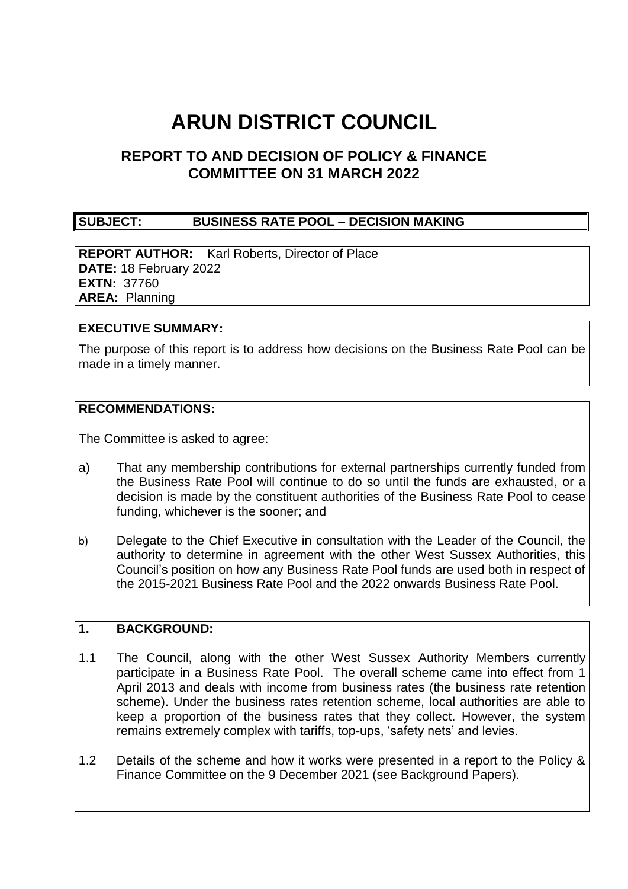# **ARUN DISTRICT COUNCIL**

### **REPORT TO AND DECISION OF POLICY & FINANCE COMMITTEE ON 31 MARCH 2022**

#### **SUBJECT: BUSINESS RATE POOL – DECISION MAKING**

**REPORT AUTHOR:** Karl Roberts, Director of Place **DATE:** 18 February 2022 **EXTN:** 37760 **AREA:** Planning

#### **EXECUTIVE SUMMARY:**

The purpose of this report is to address how decisions on the Business Rate Pool can be made in a timely manner.

#### **RECOMMENDATIONS:**

The Committee is asked to agree:

- a) That any membership contributions for external partnerships currently funded from the Business Rate Pool will continue to do so until the funds are exhausted, or a decision is made by the constituent authorities of the Business Rate Pool to cease funding, whichever is the sooner; and
- b) Delegate to the Chief Executive in consultation with the Leader of the Council, the authority to determine in agreement with the other West Sussex Authorities, this Council's position on how any Business Rate Pool funds are used both in respect of the 2015-2021 Business Rate Pool and the 2022 onwards Business Rate Pool.

#### **1. BACKGROUND:**

- 1.1 The Council, along with the other West Sussex Authority Members currently participate in a Business Rate Pool. The overall scheme came into effect from 1 April 2013 and deals with income from business rates (the business rate retention scheme). Under the business rates retention scheme, local authorities are able to keep a proportion of the business rates that they collect. However, the system remains extremely complex with tariffs, top-ups, 'safety nets' and levies.
- 1.2 Details of the scheme and how it works were presented in a report to the Policy & Finance Committee on the 9 December 2021 (see Background Papers).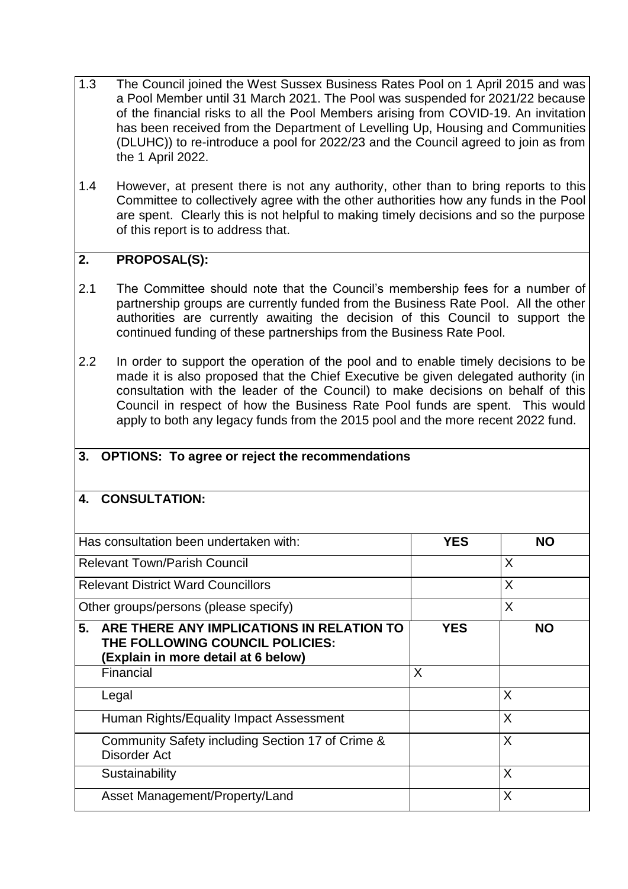- 1.3 The Council joined the West Sussex Business Rates Pool on 1 April 2015 and was a Pool Member until 31 March 2021. The Pool was suspended for 2021/22 because of the financial risks to all the Pool Members arising from COVID-19. An invitation has been received from the Department of Levelling Up, Housing and Communities (DLUHC)) to re-introduce a pool for 2022/23 and the Council agreed to join as from the 1 April 2022.
- 1.4 However, at present there is not any authority, other than to bring reports to this Committee to collectively agree with the other authorities how any funds in the Pool are spent. Clearly this is not helpful to making timely decisions and so the purpose of this report is to address that.

#### **2. PROPOSAL(S):**

- 2.1 The Committee should note that the Council's membership fees for a number of partnership groups are currently funded from the Business Rate Pool. All the other authorities are currently awaiting the decision of this Council to support the continued funding of these partnerships from the Business Rate Pool.
- 2.2 In order to support the operation of the pool and to enable timely decisions to be made it is also proposed that the Chief Executive be given delegated authority (in consultation with the leader of the Council) to make decisions on behalf of this Council in respect of how the Business Rate Pool funds are spent. This would apply to both any legacy funds from the 2015 pool and the more recent 2022 fund.

## **4. CONSULTATION:** Has consultation been undertaken with: **YES NO** Relevant Town/Parish Council **X** X Relevant District Ward Councillors X Other groups/persons (please specify)  $\vert$   $\vert$   $\chi$ **5. ARE THERE ANY IMPLICATIONS IN RELATION TO THE FOLLOWING COUNCIL POLICIES: (Explain in more detail at 6 below) YES NO** Financial X Legal X (2001) [2012 2013 2014 2014 2015 2017 2018 2019 2019 2014 2015 2017 2018 2019 2019 2017 2018 2019 201 Human Rights/Equality Impact Assessment Manuson Number 2011 Community Safety including Section 17 of Crime & Disorder Act X Sustainability X Asset Management/Property/Land X

#### **3. OPTIONS: To agree or reject the recommendations**